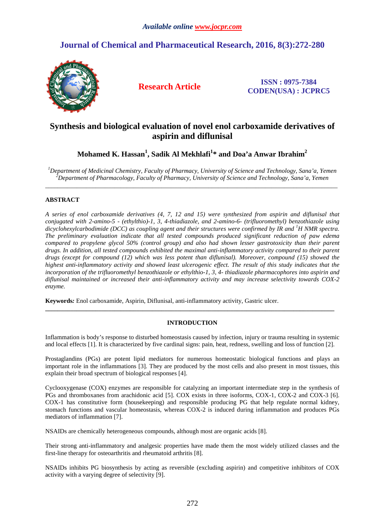# **Journal of Chemical and Pharmaceutical Research, 2016, 8(3):272-280**



**Research Article ISSN : 0975-7384 CODEN(USA) : JCPRC5**

## **Synthesis and biological evaluation of novel enol carboxamide derivatives of aspirin and diflunisal**

**Mohamed K. Hassan<sup>1</sup> , Sadik Al Mekhlafi<sup>1</sup> \* and Doa'a Anwar Ibrahim<sup>2</sup>**

*<sup>1</sup>Department of Medicinal Chemistry, Faculty of Pharmacy, University of Science and Technology, Sana'a, Yemen <sup>2</sup>Department of Pharmacology, Faculty of Pharmacy, University of Science and Technology, Sana'a, Yemen*  \_\_\_\_\_\_\_\_\_\_\_\_\_\_\_\_\_\_\_\_\_\_\_\_\_\_\_\_\_\_\_\_\_\_\_\_\_\_\_\_\_\_\_\_\_\_\_\_\_\_\_\_\_\_\_\_\_\_\_\_\_\_\_\_\_\_\_\_\_\_\_\_\_\_\_\_\_\_\_\_\_\_\_\_\_\_\_\_\_\_\_\_\_

## **ABSTRACT**

*A series of enol carboxamide derivatives (4, 7, 12 and 15) were synthesized from aspirin and diflunisal that conjugated with 2-amino-5 - (ethylthio)-1, 3, 4-thiadiazole, and 2-amino-6- (trifluoromethyl) benzothiazole using dicyclohexylcarbodimide (DCC) as coupling agent and their structures were confirmed by IR and <sup><i>1</sup>H NMR spectra*.</sup> *The preliminary evaluation indicate that all tested compounds produced significant reduction of paw edema compared to propylene glycol 50% (control group) and also had shown lesser gastrotoxicity than their parent drugs. In addition, all tested compounds exhibited the maximal anti-inflammatory activity compared to their parent drugs (except for compound (12) which was less potent than diflunisal). Moreover, compound (15) showed the highest anti-inflammatory activity and showed least ulcerogenic effect. The result of this study indicates that the incorporation of the trifluoromethyl benzothiazole or ethylthio-1, 3, 4- thiadiazole pharmacophores into aspirin and diflunisal maintained or increased their anti-inflammatory activity and may increase selectivity towards COX-2 enzyme.* 

**Keywords***:* Enol carboxamide, Aspirin, Diflunisal, anti-inflammatory activity, Gastric ulcer.

## **INTRODUCTION**

**\_\_\_\_\_\_\_\_\_\_\_\_\_\_\_\_\_\_\_\_\_\_\_\_\_\_\_\_\_\_\_\_\_\_\_\_\_\_\_\_\_\_\_\_\_\_\_\_\_\_\_\_\_\_\_\_\_\_\_\_\_\_\_\_\_\_\_\_\_\_\_\_\_\_\_\_\_\_\_\_\_\_\_\_\_\_\_\_\_\_\_\_** 

Inflammation is body's response to disturbed homeostasis caused by infection, injury or trauma resulting in systemic and local effects [1]. It is characterized by five cardinal signs: pain, heat, redness, swelling and loss of function [2].

Prostaglandins (PGs) are potent lipid mediators for numerous homeostatic biological functions and plays an important role in the inflammations [3]. They are produced by the most cells and also present in most tissues, this explain their broad spectrum of biological responses [4].

Cyclooxygenase (COX) enzymes are responsible for catalyzing an important intermediate step in the synthesis of PGs and thromboxanes from arachidonic acid [5]. COX exists in three isoforms, COX-1, COX-2 and COX-3 [6]. COX-1 has constitutive form (housekeeping) and responsible producing PG that help regulate normal kidney, stomach functions and vascular homeostasis, whereas COX-2 is induced during inflammation and produces PGs mediators of inflammation [7].

NSAIDs are chemically heterogeneous compounds, although most are organic acids [8].

Their strong anti-inflammatory and analgesic properties have made them the most widely utilized classes and the first-line therapy for osteoarthritis and rheumatoid arthritis [8].

NSAIDs inhibits PG biosynthesis by acting as reversible (excluding aspirin) and competitive inhibitors of COX activity with a varying degree of selectivity [9].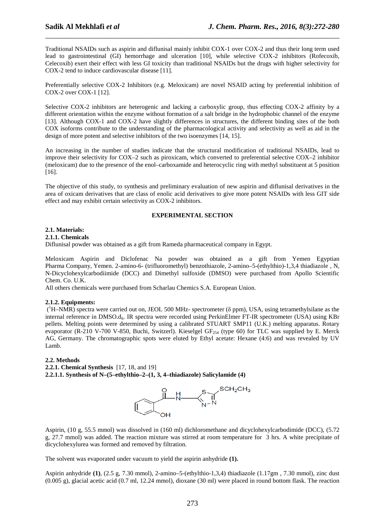Traditional NSAIDs such as aspirin and diflunisal mainly inhibit COX-1 over COX-2 and thus their long term used lead to gastrointestinal (GI) hemorrhage and ulceration [10], while selective COX-2 inhibitors (Rofecoxib, Celecoxib) exert their effect with less GI toxicity than traditional NSAIDs but the drugs with higher selectivity for COX-2 tend to induce cardiovascular disease [11].

\_\_\_\_\_\_\_\_\_\_\_\_\_\_\_\_\_\_\_\_\_\_\_\_\_\_\_\_\_\_\_\_\_\_\_\_\_\_\_\_\_\_\_\_\_\_\_\_\_\_\_\_\_\_\_\_\_\_\_\_\_\_\_\_\_\_\_\_\_\_\_\_\_\_\_\_\_\_

Preferentially selective COX-2 Inhibitors (e.g. Meloxicam) are novel NSAID acting by preferential inhibition of COX-2 over COX-1 [12].

Selective COX-2 inhibitors are heterogenic and lacking a carboxylic group, thus effecting COX-2 affinity by a different orientation within the enzyme without formation of a salt bridge in the hydrophobic channel of the enzyme [13]. Although COX-1 and COX-2 have slightly differences in structures, the different binding sites of the both COX isoforms contribute to the understanding of the pharmacological activity and selectivity as well as aid in the design of more potent and selective inhibitors of the two isoenzymes [14, 15].

An increasing in the number of studies indicate that the structural modification of traditional NSAIDs, lead to improve their selectivity for COX–2 such as piroxicam, which converted to preferential selective COX–2 inhibitor (meloxicam) due to the presence of the enol–carboxamide and heterocyclic ring with methyl substituent at 5 position [16].

The objective of this study, to synthesis and preliminary evaluation of new aspirin and diflunisal derivatives in the area of oxicam derivatives that are class of enolic acid derivatives to give more potent NSAIDs with less GIT side effect and may exhibit certain selectivity as COX-2 inhibitors.

### **EXPERIMENTAL SECTION**

# **2.1. Materials:**

**2.1.1. Chemicals** 

Diflunisal powder was obtained as a gift from Rameda pharmaceutical company in Egypt.

Meloxicam Aspirin and Diclofenac Na powder was obtained as a gift from Yemen Egyptian Pharma Company, Yemen. 2-amino-6- (trifluoromethyl) benzothiazole, 2-amino–5-(ethylthio)-1,3,4 thiadiazole , N, N-Dicyclohexylcarbodiimide (DCC) and Dimethyl sulfoxide (DMSO) were purchased from Apollo Scientific Chem. Co. U.K.

All others chemicals were purchased from Scharlau Chemics S.A. European Union.

### **2.1.2. Equipments:**

 $(1H-NMR)$  spectra were carried out on, JEOL 500 MHz- spectrometer ( $\delta$  ppm), USA, using tetramethylsilane as the internal reference in DMSO.d<sub>6</sub>. IR spectra were recorded using PerkinElmer FT-IR spectrometer (USA) using KBr pellets. Melting points were determined by using a calibrated STUART SMP11 (U.K.) melting apparatus. Rotary evaporator (R-210 V-700 V-850, Buchi, Switzerl). Kieselgel GF<sub>254</sub> (type 60) for TLC was supplied by E. Merck AG, Germany. The chromatographic spots were eluted by Ethyl acetate: Hexane (4:6) and was revealed by UV Lamb.

### **2.2. Methods**

**2.2.1. Chemical Synthesis** [17, 18, and 19]

**2.2.1.1. Synthesis of N–(5–ethylthio–2–(1, 3, 4–thiadiazole) Salicylamide (4)** 



Aspirin, (10 g, 55.5 mmol) was dissolved in (160 ml) dichloromethane and dicyclohexylcarbodimide (DCC), (5.72 g, 27.7 mmol) was added. The reaction mixture was stirred at room temperature for 3 hrs. A white precipitate of dicyclohexylurea was formed and removed by filtration.

The solvent was evaporated under vacuum to yield the aspirin anhydride **(1).**

Aspirin anhydride **(1)**, (2.5 g, 7.30 mmol), 2-amino–5-(ethylthio-1,3,4) thiadiazole (1.17gm , 7.30 mmol), zinc dust (0.005 g), glacial acetic acid (0.7 ml, 12.24 mmol), dioxane (30 ml) were placed in round bottom flask. The reaction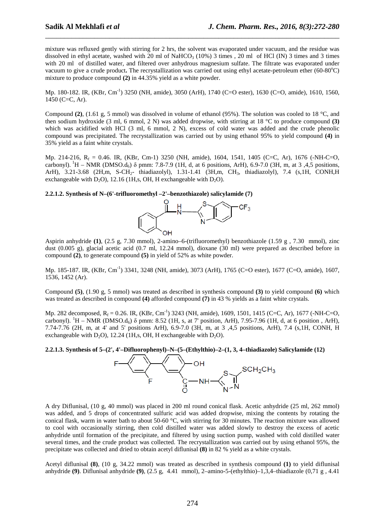mixture was refluxed gently with stirring for 2 hrs, the solvent was evaporated under vacuum, and the residue was dissolved in ethyl acetate, washed with 20 ml of NaHCO<sub>3</sub> (10%) 3 times, 20 ml of HCl (IN) 3 times and 3 times with 20 ml of distilled water, and filtered over anhydrous magnesium sulfate. The filtrate was evaporated under vacuum to give a crude product. The recrystallization was carried out using ethyl acetate-petroleum ether  $(60-80^{\circ}C)$ mixture to produce compound **(2)** in 44.35% yield as a white powder.

\_\_\_\_\_\_\_\_\_\_\_\_\_\_\_\_\_\_\_\_\_\_\_\_\_\_\_\_\_\_\_\_\_\_\_\_\_\_\_\_\_\_\_\_\_\_\_\_\_\_\_\_\_\_\_\_\_\_\_\_\_\_\_\_\_\_\_\_\_\_\_\_\_\_\_\_\_\_

Mp. 180-182. IR, (KBr, Cm-1) 3250 (NH, amide), 3050 (ArH), 1740 (C=O ester), 1630 (C=O, amide), 1610, 1560,  $1450$  (C=C, Ar).

Compound **(2)**, (1.61 g, 5 mmol) was dissolved in volume of ethanol (95%). The solution was cooled to 18 °C, and then sodium hydroxide (3 ml, 6 mmol, 2 N) was added dropwise, with stirring at 18 °C to produce compound **(3)** which was acidified with HCl (3 ml, 6 mmol, 2 N), excess of cold water was added and the crude phenolic compound was precipitated. The recrystallization was carried out by using ethanol 95% to yield compound **(4)** in 35% yield as a faint white crystals.

Mp. 214-216, R<sub>f</sub> = 0.46. IR, (KBr, Cm-1) 3250 (NH, amide), 1604, 1541, 1405 (C=C, Ar), 1676 (-NH-C=O, carbonyl).<sup>1</sup>H – NMR (DMSO.d<sub>6</sub>) δ pmm: 7.8-7.9 (1H, d, at 6 positions, ArH), 6.9-7.0 (3H, m, at 3,4,5 positions, ArH), 3.21-3.68 (2H,m, S-CH<sub>2</sub>- thiadiazolyl), 1.31-1.41 (3H,m, CH<sub>3</sub>, thiadiazolyl), 7.4 (s,1H, CONH,H exchangeable with  $D_2O$ ), 12.16 (1H,s, OH, H exchangeable with  $D_2O$ ).

#### **2.2.1.2. Synthesis of N–(6'-trifluoromethyl –2'–benzothiazole) salicylamide (7)**



Aspirin anhydride **(1)**, (2.5 g, 7.30 mmol), 2-amino–6-(trifluoromethyl) benzothiazole (1.59 g , 7.30 mmol), zinc dust (0.005 g), glacial acetic acid (0.7 ml, 12.24 mmol), dioxane (30 ml) were prepared as described before in compound **(2)**, to generate compound **(5)** in yield of 52% as white powder.

Mp. 185-187. IR, (KBr, Cm<sup>-1</sup>) 3341, 3248 (NH, amide), 3073 (ArH), 1765 (C=O ester), 1677 (C=O, amide), 1607, 1536, 1452 (Ar).

Compound **(5)**, (1.90 g, 5 mmol) was treated as described in synthesis compound **(3)** to yield compound **(6)** which was treated as described in compound **(4)** afforded compound **(7)** in 43 % yields as a faint white crystals.

Mp. 282 decomposed,  $R_f = 0.26$ . IR, (KBr, Cm<sup>-1</sup>) 3243 (NH, amide), 1609, 1501, 1415 (C=C, Ar), 1677 (-NH-C=O, carbonyl). <sup>1</sup>H – NMR (DMSO.d<sub>6</sub>)  $\delta$  pmm: 8.52 (1H, s, at 7' position, ArH), 7.95-7.96 (1H, d, at 6 position, ArH), 7.74-7.76 (2H, m, at 4' and 5' positions ArH), 6.9-7.0 (3H, m, at 3 ,4,5 positions, ArH), 7.4 (s,1H, CONH, H exchangeable with D<sub>2</sub>O), 12.24 (1H,s, OH, H exchangeable with D<sub>2</sub>O).





A dry Diflunisal, (10 g, 40 mmol) was placed in 200 ml round conical flask. Acetic anhydride (25 ml, 262 mmol) was added, and 5 drops of concentrated sulfuric acid was added dropwise, mixing the contents by rotating the conical flask, warm in water bath to about 50-60 °C, with stirring for 30 minutes. The reaction mixture was allowed to cool with occasionally stirring, then cold distilled water was added slowly to destroy the excess of acetic anhydride until formation of the precipitate, and filtered by using suction pump, washed with cold distilled water several times, and the crude product was collected. The recrystallization was carried out by using ethanol 95%, the precipitate was collected and dried to obtain acetyl diflunisal **(8)** in 82 % yield as a white crystals.

Acetyl diflunisal **(8)**, (10 g, 34.22 mmol) was treated as described in synthesis compound **(1)** to yield diflunisal anhydride **(9)**. Diflunisal anhydride **(9)**, (2.5 g, 4.41 mmol), 2–amino-5-(ethylthio)–1,3,4–thiadiazole (0,71 g , 4.41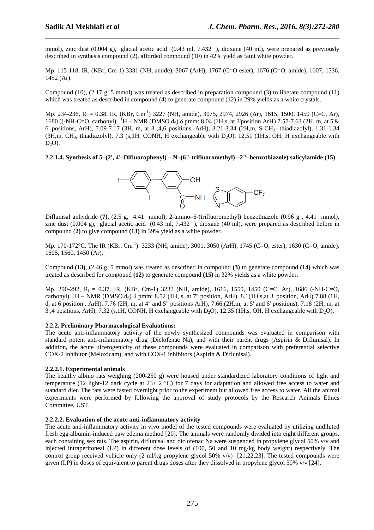mmol), zinc dust (0.004 g), glacial acetic acid (0.43 ml, 7.432), dioxane (40 ml), were prepared as previously described in synthesis compound (2), afforded compound (10) in 42% yield as faint white powder.

\_\_\_\_\_\_\_\_\_\_\_\_\_\_\_\_\_\_\_\_\_\_\_\_\_\_\_\_\_\_\_\_\_\_\_\_\_\_\_\_\_\_\_\_\_\_\_\_\_\_\_\_\_\_\_\_\_\_\_\_\_\_\_\_\_\_\_\_\_\_\_\_\_\_\_\_\_\_

Mp. 115-118. IR, (KBr, Cm-1) 3331 (NH, amide), 3067 (ArH), 1767 (C=O ester), 1676 (C=O, amide), 1607, 1536, 1452 (Ar).

Compound (10), (2.17 g, 5 mmol) was treated as described in preparation compound (3) to liberate compound (11) which was treated as described in compound (4) to generate compound (12) in 29% yields as a white crystals.

Mp. 234-236, R<sub>f</sub> = 0.38. IR, (KBr, Cm<sup>-1</sup>) 3227 (NH, amide), 3075, 2974, 2926 (Ar), 1615, 1500, 1450 (C=C, Ar), 1680 ((-NH-C=O, carbonyl). <sup>1</sup>H – NMR (DMSO.d6) δ pmm: 8.04 (1H,s, at 3'position ArH) 7.57-7.63 (2H, m, at 5'& 6' positions, ArH), 7.09-7.17 (3H, m, at 3 ,4,6 positions, ArH), 3.21-3.34 (2H,m, S-CH2- thiadiazolyl), 1.31-1.34  $(3H,m, CH<sub>3</sub>, thiadiazolyl), 7.3 (s,IH, CONH, H exchangeable with D<sub>2</sub>O), 12.51 (1H,s, OH, H exchangeable with$  $D<sub>2</sub>O$ ).

**2.2.1.4. Synthesis of 5–(2', 4'–Difluorophenyl) – N–(6"-trifluoromethyl) –2"–benzothiazole) salicylamide (15)** 



Diflunisal anhydride **(7)**, (2.5 g, 4.41 mmol), 2-amino–6-(trifluoromethyl) benzothiazole (0.96 g , 4.41 mmol), zinc dust (0.004 g), glacial acetic acid (0.43 ml, 7.432 ), dioxane (40 ml), were prepared as described before in compound (**2)** to give compound **(13)** in 39% yield as a white powder.

Mp. 170-172°C. The IR (KBr, Cm<sup>-1</sup>): 3233 (NH, amide), 3001, 3050 (ArH), 1745 (C=O, ester), 1630 (C=O, amide), 1605, 1560, 1450 (Ar).

Compound **(13)**, (2.46 g, 5 mmol) was treated as described in compound **(3)** to generate compound **(14)** which was treated as described for compound **(12)** to generate compound **(15)** in 32% yields as a white powder.

Mp. 290-292, R<sub>f</sub> = 0.37. IR, (KBr, Cm-1) 3233 (NH, amide), 1616, 1550, 1450 (C=C, Ar), 1686 (-NH-C=O, carbonyl).  ${}^{1}H$  – NMR (DMSO.d<sub>6</sub>)  $\delta$  pmm: 8.52 (1H, s, at 7" position, ArH), 8.1(1H,s,at 3' position, ArH) 7.88 (1H, d, at 6 position , ArH), 7.76 (2H, m, at 4'' and 5'' positions ArH), 7.66 (2H,m, at 5' and 6' positions), 7.18 (2H, m, at 3,4 positions, ArH), 7.32 (s,1H, CONH, H exchangeable with D<sub>2</sub>O), 12.35 (1H,s, OH, H exchangeable with D<sub>2</sub>O).

#### **2.2.2. Preliminary Pharmacological Evaluations:**

The acute anti-inflammatory activity of the newly synthesized compounds was evaluated in comparison with standard potent anti-inflammatory drug (Diclofenac Na), and with their parent drugs (Aspirin & Diflunisal). In addition, the acute ulcerogenicity of these compounds were evaluated in comparison with preferential selective COX-2 inhibitor (Meloxicam), and with COX-1 inhibitors (Aspirin & Diflunisal).

#### **2.2.2.1. Experimental animals**

The healthy albino rats weighing (200-250 g) were housed under standardized laboratory conditions of light and temperature (12 light-12 dark cycle at  $23 \pm 2$  °C) for 7 days for adaptation and allowed free access to water and standard diet. The rats were fasted overnight prior to the experiment but allowed free access to water. All the animal experiments were performed by following the approval of study protocols by the Research Animals Ethics Committee, UST.

#### **2.2.2.2. Evaluation of the acute anti-inflammatory activity**

The acute anti-inflammatory activity in vivo model of the tested compounds were evaluated by utilizing undiluted fresh egg albumin-induced paw edema method [20]. The animals were randomly divided into eight different groups, each containing sex rats. The aspirin, diflunisal and diclofenac Na were suspended in propylene glycol 50% v/v and injected intraperitoneal (I.P) in different dose levels of (100, 50 and 10 mg/kg body weight) respectively. The control group received vehicle only  $(2 \text{ ml/kg}$  propylene glycol 50% v/v) [21,22,23]. The tested compounds were given (I.P) in doses of equivalent to parent drugs doses after they dissolved in propylene glycol 50% v/v [24].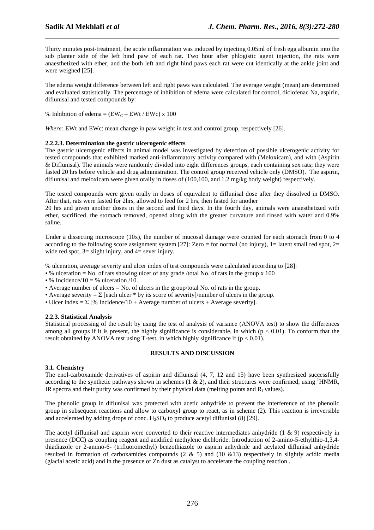Thirty minutes post-treatment, the acute inflammation was induced by injecting 0.05ml of fresh egg albumin into the sub planter side of the left hind paw of each rat. Two hour after phlogistic agent injection, the rats were anaesthetized with ether, and the both left and right hind paws each rat were cut identically at the ankle joint and were weighed [25].

\_\_\_\_\_\_\_\_\_\_\_\_\_\_\_\_\_\_\_\_\_\_\_\_\_\_\_\_\_\_\_\_\_\_\_\_\_\_\_\_\_\_\_\_\_\_\_\_\_\_\_\_\_\_\_\_\_\_\_\_\_\_\_\_\_\_\_\_\_\_\_\_\_\_\_\_\_\_

The edema weight difference between left and right paws was calculated. The average weight (mean) are determined and evaluated statistically. The percentage of inhibition of edema were calculated for control, diclofenac Na, aspirin, diflunisal and tested compounds by:

% Inhibition of edema =  $(EW_C - EWt / EWc)$  x 100

*Where:* EWt and EWc: mean change in paw weight in test and control group, respectively [26].

#### **2.2.2.3. Determination the gastric ulcerogenic effects**

The gastric ulcerogenic effects in animal model was investigated by detection of possible ulcerogenic activity for tested compounds that exhibited marked anti-inflammatory activity compared with (Meloxicam), and with (Aspirin & Diflunisal). The animals were randomly divided into eight differences groups, each containing sex rats; they were fasted 20 hrs before vehicle and drug administration. The control group received vehicle only (DMSO). The aspirin, diflunisal and meloxicam were given orally in doses of (100,100, and 1.2 mg/kg body weight) respectively.

The tested compounds were given orally in doses of equivalent to diflunisal dose after they dissolved in DMSO. After that, rats were fasted for 2hrs, allowed to feed for 2 hrs, then fasted for another

20 hrs and given another doses in the second and third days. In the fourth day, animals were anaesthetized with ether, sacrificed, the stomach removed, opened along with the greater curvature and rinsed with water and 0.9% saline.

Under a dissecting microscope  $(10x)$ , the number of mucosal damage were counted for each stomach from 0 to 4 according to the following score assignment system [27]: Zero = for normal (no injury), 1= latent small red spot,  $2=$ wide red spot,  $3=$  slight injury, and  $4=$  sever injury.

% ulceration, average severity and ulcer index of test compounds were calculated according to [28]:

- % ulceration = No. of rats showing ulcer of any grade /total No. of rats in the group x 100
- % Incidence/10 = % ulceration /10.
- Average number of ulcers  $=$  No. of ulcers in the group/total No. of rats in the group.
- Average severity  $=\Sigma$  [each ulcer \* by its score of severity]/number of ulcers in the group.
- Ulcer index =  $\Sigma$  [% Incidence/10 + Average number of ulcers + Average severity].

#### **2.2.3. Statistical Analysis**

Statistical processing of the result by using the test of analysis of variance (ANOVA test) to show the differences among all groups if it is present, the highly significance is considerable, in which ( $p < 0.01$ ). To conform that the result obtained by ANOVA test using T-test, in which highly significance if  $(p < 0.01)$ .

### **RESULTS AND DISCUSSION**

### **3.1. Chemistry**

The enol-carboxamide derivatives of aspirin and diflunisal (4, 7, 12 and 15) have been synthesized successfully according to the synthetic pathways shown in schemes (1 & 2), and their structures were confirmed, using  ${}^{1}$ HNMR, IR spectra and their purity was confirmed by their physical data (melting points and  $R_f$  values).

The phenolic group in diflunisal was protected with acetic anhydride to prevent the interference of the phenolic group in subsequent reactions and allow to carboxyl group to react, as in scheme (2). This reaction is irreversible and accelerated by adding drops of conc.  $H_2SO_4$  to produce acetyl diflunisal (8) [29].

The acetyl diflunisal and aspirin were converted to their reactive intermediates anhydride (1 & 9) respectively in presence (DCC) as coupling reagent and acidified methylene dichloride. Introduction of 2-amino-5-ethylthio-1,3,4 thiadiazole or 2-amino-6- (trifluoromethyl) benzothiazole to aspirin anhydride and acylated diflunisal anhydride resulted in formation of carboxamides compounds  $(2 \& 5)$  and  $(10 \& 13)$  respectively in slightly acidic media (glacial acetic acid) and in the presence of Zn dust as catalyst to accelerate the coupling reaction .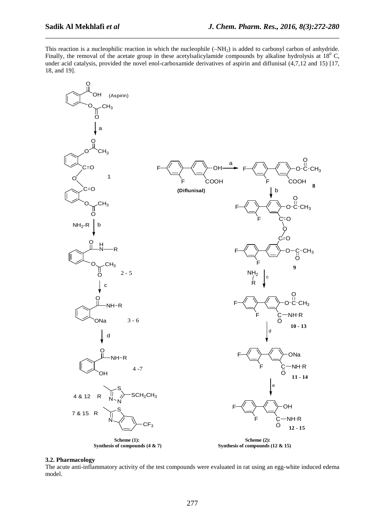This reaction is a nucleophilic reaction in which the nucleophile  $(-NH<sub>2</sub>)$  is added to carbonyl carbon of anhydride. Finally, the removal of the acetate group in these acetylsalicylamide compounds by alkaline hydrolysis at  $18^{\circ}$  C, under acid catalysis, provided the novel enol-carboxamide derivatives of aspirin and diflunisal (4,7,12 and 15) [17, 18, and 19].

\_\_\_\_\_\_\_\_\_\_\_\_\_\_\_\_\_\_\_\_\_\_\_\_\_\_\_\_\_\_\_\_\_\_\_\_\_\_\_\_\_\_\_\_\_\_\_\_\_\_\_\_\_\_\_\_\_\_\_\_\_\_\_\_\_\_\_\_\_\_\_\_\_\_\_\_\_\_



#### **3.2. Pharmacology**

The acute anti-inflammatory activity of the test compounds were evaluated in rat using an egg-white induced edema model.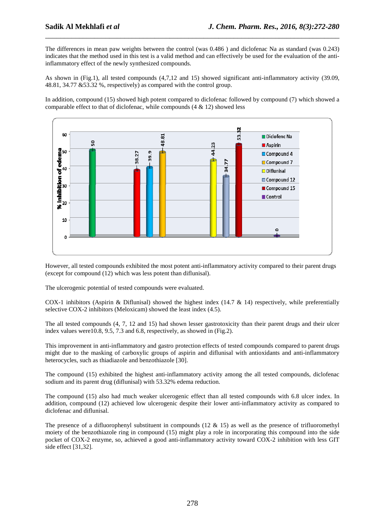The differences in mean paw weights between the control (was 0.486 ) and diclofenac Na as standard (was 0.243) indicates that the method used in this test is a valid method and can effectively be used for the evaluation of the antiinflammatory effect of the newly synthesized compounds.

\_\_\_\_\_\_\_\_\_\_\_\_\_\_\_\_\_\_\_\_\_\_\_\_\_\_\_\_\_\_\_\_\_\_\_\_\_\_\_\_\_\_\_\_\_\_\_\_\_\_\_\_\_\_\_\_\_\_\_\_\_\_\_\_\_\_\_\_\_\_\_\_\_\_\_\_\_\_

As shown in (Fig.1), all tested compounds (4,7,12 and 15) showed significant anti-inflammatory activity (39.09, 48.81, 34.77 &53.32 %, respectively) as compared with the control group.

In addition, compound (15) showed high potent compared to diclofenac followed by compound (7) which showed a comparable effect to that of diclofenac, while compounds  $(4 \& 12)$  showed less



However, all tested compounds exhibited the most potent anti-inflammatory activity compared to their parent drugs (except for compound (12) which was less potent than diflunisal).

The ulcerogenic potential of tested compounds were evaluated.

COX-1 inhibitors (Aspirin & Diflunisal) showed the highest index (14.7 & 14) respectively, while preferentially selective COX-2 inhibitors (Meloxicam) showed the least index (4.5).

The all tested compounds (4, 7, 12 and 15) had shown lesser gastrotoxicity than their parent drugs and their ulcer index values were10.8, 9.5, 7.3 and 6.8, respectively, as showed in (Fig.2).

This improvement in anti-inflammatory and gastro protection effects of tested compounds compared to parent drugs might due to the masking of carboxylic groups of aspirin and diflunisal with antioxidants and anti-inflammatory heterocycles, such as thiadiazole and benzothiazole [30].

The compound (15) exhibited the highest anti-inflammatory activity among the all tested compounds, diclofenac sodium and its parent drug (diflunisal) with 53.32% edema reduction.

The compound (15) also had much weaker ulcerogenic effect than all tested compounds with 6.8 ulcer index. In addition, compound (12) achieved low ulcerogenic despite their lower anti-inflammatory activity as compared to diclofenac and diflunisal.

The presence of a difluorophenyl substituent in compounds (12  $\&$  15) as well as the presence of trifluoromethyl moiety of the benzothiazole ring in compound (15) might play a role in incorporating this compound into the side pocket of COX-2 enzyme, so, achieved a good anti-inflammatory activity toward COX-2 inhibition with less GIT side effect [31,32].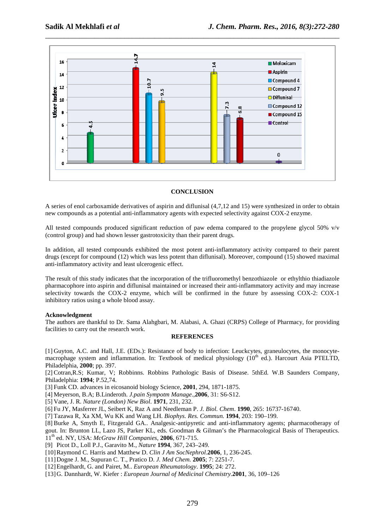

### **CONCLUSION**

A series of enol carboxamide derivatives of aspirin and diflunisal (4,7,12 and 15) were synthesized in order to obtain new compounds as a potential anti-inflammatory agents with expected selectivity against COX-2 enzyme.

All tested compounds produced significant reduction of paw edema compared to the propylene glycol 50% v/v (control group) and had shown lesser gastrotoxicity than their parent drugs.

In addition, all tested compounds exhibited the most potent anti-inflammatory activity compared to their parent drugs (except for compound (12) which was less potent than diflunisal). Moreover, compound (15) showed maximal anti-inflammatory activity and least ulcerogenic effect.

The result of this study indicates that the incorporation of the trifluoromethyl benzothiazole or ethylthio thiadiazole pharmacophore into aspirin and diflunisal maintained or increased their anti-inflammatory activity and may increase selectivity towards the COX-2 enzyme, which will be confirmed in the future by assessing COX-2: COX-1 inhibitory ratios using a whole blood assay.

### **Acknowledgment**

The authors are thankful to Dr. Sama Alahgbari, M. Alabasi, A. Ghazi (CRPS) College of Pharmacy, for providing facilities to carry out the research work.

### **REFERENCES**

[1] Guyton, A.C. and Hall, J.E. (EDs.): Resistance of body to infection: Leuckcytes, graneulocytes, the monocytemacrophage system and inflammation. In: Textbook of medical physiology  $(10<sup>th</sup>$  ed.). Harcourt Asia PTELTD, Philadelphia, **2000**; pp. 397.

[2] Cotran,R.S; Kumar, V; Robbinns. Robbins Pathologic Basis of Disease. 5thEd. W.B Saunders Company, Philadelphia: **1994**; P.52,74.

[3] Funk CD. advances in eicosanoid biology Science, **2001**, 294, 1871-1875.

[4] Meyerson, B.A; B.Linderoth. *J.pain Sympotm Manage*.,**2006**, 31: S6-S12.

[5] Vane, J. R. *Nature (London) New Biol*. **1971**, 231, 232.

[6] Fu JY, Masferrer JL, Seibert K, Raz A and Needleman P. *J. Biol. Chem*. **1990**, 265: 16737-16740.

[7] Tazawa R, Xa XM, Wu KK and Wang LH. *Biophys. Res. Commun.* **1994**, 203: 190–199.

[8] Burke A, Smyth E, Fitzgerald GA.. Analgesic-antipyretic and anti-inflammatory agents; pharmacotherapy of gout. In: Brunton LL, Lazo JS, Parker KL, eds. Goodman & Gilman's the Pharmacological Basis of Therapeutics. 11th ed. NY, USA: *McGraw Hill Companies*, **2006**, 671-715.

[9] Picot D., Loll P.J., Garavito M., *Nature* **1994**, 367, 243–249.

[10]Raymond C. Harris and Matthew D. *Clin J Am SocNephrol*.**2006**, 1, 236-245.

- [11]Dogne J. M., Supuran C. T., Pratico D. *J. Med Chem.* **2005**; 7: 2251-7.
- [12]Engelhardt, G. and Pairet, M.. *European Rheumatology*. **1995**; 24: 272.
- [13]G. Dannhardt, W. Kiefer : *European Journal of Medicinal Chemistry*.**2001**, 36, 109–126